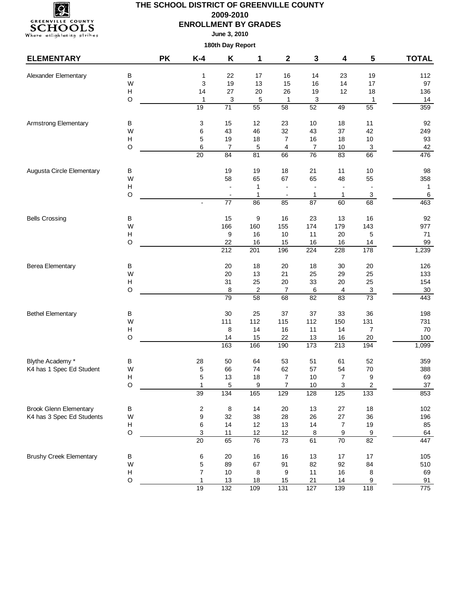

**June 3, 2010**

| <b>ELEMENTARY</b>              |             | <b>PK</b> | $K-4$            | Κ                | 1                | $\mathbf{2}$     | 3                | 4               | 5                   | <b>TOTAL</b> |
|--------------------------------|-------------|-----------|------------------|------------------|------------------|------------------|------------------|-----------------|---------------------|--------------|
| Alexander Elementary           | B           |           | 1                | 22               | 17               | 16               | 14               | 23              | 19                  | 112          |
|                                | W           |           | 3                | 19               | 13               | 15               | 16               | 14              | 17                  | 97           |
|                                | H           |           | 14               | 27               | 20               | 26               | 19               | 12              | 18                  | 136          |
|                                | $\circ$     |           | $\mathbf 1$      | 3                | 5                | 1                | 3                |                 | 1                   | 14           |
|                                |             |           | 19               | 71               | 55               | $\overline{58}$  | 52               | 49              | 55                  | 359          |
| <b>Armstrong Elementary</b>    | В           |           | 3                | 15               | 12               | 23               | 10               | 18              | 11                  | 92           |
|                                | W           |           | 6                | 43               | 46               | 32               | 43               | 37              | 42                  | 249          |
|                                | H           |           | 5                | 19               | 18               | $\overline{7}$   | 16               | 18              | 10                  | 93           |
|                                | $\circ$     |           | $\,6$            | 7                | 5                | 4                | 7                | 10              | $\overline{3}$      | 42           |
|                                |             |           | $\overline{20}$  | 84               | $\overline{81}$  | 66               | 76               | 83              | 66                  | 476          |
| Augusta Circle Elementary      | В           |           |                  | 19               | 19               | 18               | 21               | 11              | 10                  | 98           |
|                                | W           |           |                  | 58               | 65               | 67               | 65               | 48              | 55                  | 358          |
|                                | H           |           |                  |                  | 1                |                  |                  |                 | $\overline{a}$      | $\mathbf{1}$ |
|                                | $\circ$     |           |                  |                  | 1                |                  | 1                | 1               | $\mathbf{3}$        | 6            |
|                                |             |           |                  | $\overline{77}$  | $\overline{86}$  | 85               | $\overline{87}$  | 60              | 68                  | 463          |
| <b>Bells Crossing</b>          | $\sf B$     |           |                  | 15               | 9                | 16               | 23               | 13              | 16                  | 92           |
|                                | W           |           |                  | 166              | 160              | 155              | 174              | 179             | 143                 | 977          |
|                                | H           |           |                  | 9                | 16               | $10$             | 11               | 20              | 5                   | 71           |
|                                | $\circ$     |           |                  | 22               | 16               | 15               | 16               | 16              | 14                  | 99           |
|                                |             |           |                  | $\overline{212}$ | 201              | 196              | $\overline{224}$ | 228             | 178                 | 1,239        |
| <b>Berea Elementary</b>        | В           |           |                  | 20               | 18               | 20               | 18               | 30              | 20                  | 126          |
|                                | W           |           |                  | 20               | 13               | 21               | 25               | 29              | 25                  | 133          |
|                                | H           |           |                  | 31               | 25               | 20               | 33               | $20\,$          | 25                  | 154          |
|                                | $\circ$     |           |                  | 8                | $\boldsymbol{2}$ | $\overline{7}$   | 6                | 4               | 3                   | $30\,$       |
|                                |             |           |                  | $\overline{79}$  | $\overline{58}$  | 68               | $\overline{82}$  | 83              | 73                  | 443          |
| <b>Bethel Elementary</b>       | В           |           |                  | 30               | 25               | 37               | 37               | 33              | 36                  | 198          |
|                                | W           |           |                  | 111              | 112              | 115              | 112              | 150             | 131                 | 731          |
|                                | H           |           |                  | 8                | 14               | 16               | 11               | 14              | 7                   | 70           |
|                                | $\circ$     |           |                  | 14<br>163        | 15<br>166        | 22<br>190        | 13<br>173        | 16<br>213       | 20<br>194           | 100<br>1,099 |
|                                |             |           |                  |                  |                  |                  |                  |                 |                     |              |
| Blythe Academy *               | в           |           | 28               | 50               | 64               | 53               | 51               | 61              | 52                  | 359          |
| K4 has 1 Spec Ed Student       | W<br>H      |           | 5<br>5           | 66<br>13         | 74<br>18         | 62<br>7          | 57<br>10         | 54              | 70                  | 388<br>69    |
|                                | $\circ$     |           | $\mathbf{1}$     | 5                | 9                | $\overline{7}$   | 10               | 7<br>3          | 9<br>$\overline{c}$ | 37           |
|                                |             |           | 39               | 134              | 165              | 129              | 128              | 125             | 133                 | 853          |
| <b>Brook Glenn Elementary</b>  | В           |           | $\boldsymbol{2}$ | $\,8\,$          | 14               | 20               | 13               | 27              | $18$                | 102          |
| K4 has 3 Spec Ed Students      | W           |           | $\boldsymbol{9}$ | 32               | 38               | 28               | 26               | 27              | 36                  | 196          |
|                                | H           |           | 6                | 14               | 12               | 13               | 14               | $\overline{7}$  | 19                  | 85           |
|                                | $\mathsf O$ |           | 3                | 11               | 12               | 12               | $\,8\,$          | 9               | 9                   | 64           |
|                                |             |           | $\overline{20}$  | 65               | $\overline{76}$  | $\overline{73}$  | 61               | $\overline{70}$ | 82                  | 447          |
| <b>Brushy Creek Elementary</b> | $\sf B$     |           | 6                | 20               | 16               | 16               | 13               | $17$            | $17$                | 105          |
|                                | W           |           | 5                | 89               | 67               | 91               | 82               | 92              | 84                  | 510          |
|                                | H           |           | $\overline{7}$   | 10               | 8                | 9                | 11               | 16              | 8                   | 69           |
|                                | $\circ$     |           | $\mathbf{1}$     | 13               | 18               | 15               | 21               | 14              | 9                   | 91           |
|                                |             |           | 19               | $\overline{132}$ | 109              | $\overline{131}$ | 127              | 139             | $\frac{118}{118}$   | 775          |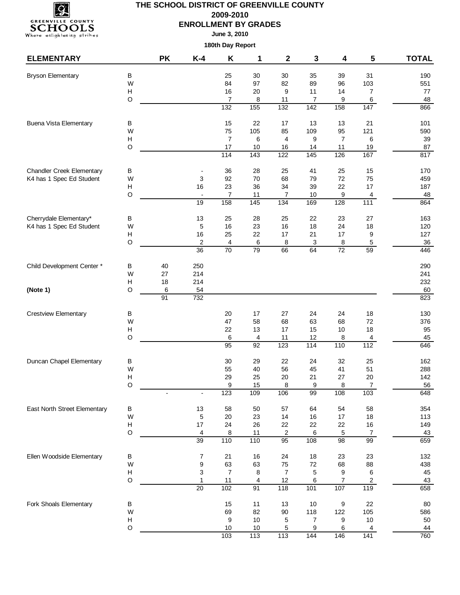

**June 3, 2010**

| <b>ELEMENTARY</b>                |                                      | <b>PK</b> | $K-4$                                      | Κ                                          | 1                    | $\mathbf{2}$                  | 3        | 4                    | 5                        | <b>TOTAL</b> |
|----------------------------------|--------------------------------------|-----------|--------------------------------------------|--------------------------------------------|----------------------|-------------------------------|----------|----------------------|--------------------------|--------------|
| <b>Bryson Elementary</b>         | B                                    |           |                                            | 25                                         | 30                   | 30                            | 35       | 39                   | 31                       | 190          |
|                                  | W                                    |           |                                            | 84                                         | 97                   | 82                            | 89       | 96                   | 103                      | 551          |
|                                  | $\boldsymbol{\mathsf{H}}$            |           |                                            | 16                                         | 20                   | 9                             | 11       | 14                   | 7                        | 77           |
|                                  | O                                    |           |                                            | $\overline{7}$                             | 8                    | 11                            | 7        | 9                    | $\,6\,$                  | 48           |
|                                  |                                      |           |                                            | $\frac{1}{132}$                            | 155                  | 132                           | 142      | 158                  | 147                      | 866          |
| <b>Buena Vista Elementary</b>    | В                                    |           |                                            | 15                                         | 22                   | 17                            | 13       | 13                   | 21                       | 101          |
|                                  | W                                    |           |                                            | 75                                         | 105                  | 85                            | 109      | 95                   | 121                      | 590          |
|                                  | H<br>O                               |           |                                            | $\overline{7}$<br>17                       | 6<br>10              | $\overline{\mathbf{4}}$<br>16 | 9<br>14  | $\overline{7}$<br>11 | 6<br>19                  | 39<br>87     |
|                                  |                                      |           |                                            | 114                                        | $\overline{143}$     | 122                           | 145      | 126                  | 167                      | 817          |
| <b>Chandler Creek Elementary</b> | $\sf B$                              |           |                                            | 36                                         | 28                   | 25                            | 41       | 25                   | 15                       | 170          |
| K4 has 1 Spec Ed Student         | W                                    |           | 3                                          | 92                                         | 70                   | 68                            | 79       | 72                   | 75                       | 459          |
|                                  | H                                    |           | 16                                         | 23                                         | 36                   | 34                            | 39       | 22                   | 17                       | 187          |
|                                  | $\mathsf O$                          |           | $\blacksquare$                             | $\overline{7}$                             | 11                   | 7                             | $10$     | 9                    | 4                        | 48           |
|                                  |                                      |           | 19                                         | 158                                        | 145                  | $\frac{1}{134}$               | 169      | 128                  | $\frac{111}{111}$        | 864          |
| Cherrydale Elementary*           | В                                    |           | 13                                         | 25                                         | 28                   | 25                            | 22       | 23                   | 27                       | 163          |
| K4 has 1 Spec Ed Student         | W                                    |           | 5                                          | 16                                         | 23                   | 16                            | 18       | 24                   | 18                       | 120          |
|                                  | $\boldsymbol{\mathsf{H}}$            |           | 16                                         | 25                                         | 22                   | 17                            | 21       | 17                   | 9                        | 127          |
|                                  | O                                    |           | $\overline{\mathbf{c}}$<br>$\overline{36}$ | $\overline{\mathbf{4}}$<br>$\overline{70}$ | 6<br>$\overline{79}$ | 8<br>66                       | 3<br>64  | 8<br>$\overline{72}$ | $\,$ 5 $\,$<br>59        | 36<br>446    |
|                                  |                                      |           |                                            |                                            |                      |                               |          |                      |                          |              |
| Child Development Center *       | В                                    | 40        | 250                                        |                                            |                      |                               |          |                      |                          | 290          |
|                                  | W<br>H                               | 27        | 214<br>214                                 |                                            |                      |                               |          |                      |                          | 241          |
| (Note 1)                         | $\circ$                              | 18<br>6   | 54                                         |                                            |                      |                               |          |                      |                          | 232<br>60    |
|                                  |                                      | 91        | 732                                        |                                            |                      |                               |          |                      |                          | 823          |
| <b>Crestview Elementary</b>      | В                                    |           |                                            | 20                                         | 17                   | 27                            | 24       | 24                   | 18                       | 130          |
|                                  | W                                    |           |                                            | 47                                         | 58                   | 68                            | 63       | 68                   | 72                       | 376          |
|                                  | H                                    |           |                                            | 22                                         | 13                   | 17                            | 15       | 10                   | 18                       | 95           |
|                                  | O                                    |           |                                            | 6                                          | 4                    | 11                            | 12       | 8                    | 4                        | 45           |
|                                  |                                      |           |                                            | 95                                         | 92                   | 123                           | 114      | 110                  | 112                      | 646          |
| Duncan Chapel Elementary         | B                                    |           |                                            | 30                                         | 29                   | 22                            | 24       | 32                   | 25                       | 162          |
|                                  | W                                    |           |                                            | 55                                         | 40                   | 56                            | 45       | 41                   | 51                       | 288          |
|                                  | $\boldsymbol{\mathsf{H}}$            |           |                                            | 29                                         | 25                   | 20                            | 21       | 27                   | 20                       | 142          |
|                                  | $\circ$                              |           |                                            | 9<br>123                                   | 15<br>109            | 8<br>106                      | 9<br>99  | 8<br>108             | $\overline{7}$           | 56           |
|                                  |                                      |           |                                            |                                            |                      |                               |          |                      | 103                      | 648          |
| East North Street Elementary     | B                                    |           | 13                                         | 58                                         | 50                   | 57                            | 64       | 54                   | 58                       | 354          |
|                                  | W                                    |           | 5                                          | 20                                         | 23                   | 14                            | 16       | 17                   | 18                       | 113          |
|                                  | $\boldsymbol{\mathsf{H}}$<br>$\circ$ |           | 17<br>$\overline{\mathcal{A}}$             | 24<br>8                                    | 26<br>11             | 22<br>$\sqrt{2}$              | 22<br>6  | 22<br>5              | $16\,$<br>$\overline{7}$ | 149<br>43    |
|                                  |                                      |           | 39                                         | 110                                        | 110                  | $\overline{95}$               | 108      | $\overline{98}$      | $\overline{99}$          | 659          |
| Ellen Woodside Elementary        | $\sf B$                              |           | $\overline{7}$                             | 21                                         | 16                   | 24                            | 18       | 23                   | 23                       | 132          |
|                                  | W                                    |           | $\boldsymbol{9}$                           | 63                                         | 63                   | 75                            | 72       | 68                   | 88                       | 438          |
|                                  | $\boldsymbol{\mathsf{H}}$            |           | 3                                          | $\boldsymbol{7}$                           | 8                    | $\overline{7}$                | 5        | 9                    | 6                        | 45           |
|                                  | O                                    |           | $\overline{1}$                             | 11                                         | 4                    | 12                            | 6        | 7                    | $\sqrt{2}$               | 43           |
|                                  |                                      |           | $\overline{20}$                            | 102                                        | 91                   | 118                           | 101      | 107                  | 119                      | 658          |
| Fork Shoals Elementary           | B                                    |           |                                            | 15                                         | 11                   | 13                            | 10       | 9                    | 22                       | 80           |
|                                  | W                                    |           |                                            | 69                                         | 82                   | $90\,$                        | 118      | 122                  | 105                      | 586          |
|                                  | $\boldsymbol{\mathsf{H}}$            |           |                                            | $\boldsymbol{9}$<br>10                     | $10$                 | 5                             | 7        | 9                    | $10$                     | 50           |
|                                  | O                                    |           |                                            | 103                                        | 10<br>113            | 5<br>113                      | 9<br>144 | 6<br>146             | 4<br>141                 | 44<br>760    |
|                                  |                                      |           |                                            |                                            |                      |                               |          |                      |                          |              |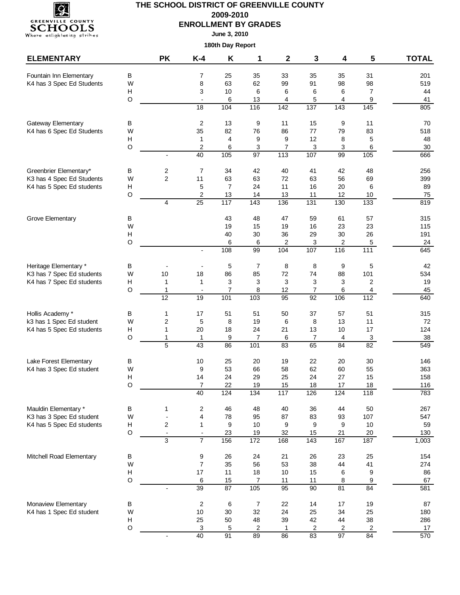

**June 3, 2010**

| <b>ELEMENTARY</b>                            |        | <b>PK</b>                       | K-4                                      | Κ                     | 1                | 2               | 3                                   | 4                    | 5                    | <b>TOTAL</b> |
|----------------------------------------------|--------|---------------------------------|------------------------------------------|-----------------------|------------------|-----------------|-------------------------------------|----------------------|----------------------|--------------|
| Fountain Inn Elementary                      | В      |                                 | 7                                        | 25                    | 35               | 33              | 35                                  | 35                   | 31                   | 201          |
| K4 has 3 Spec Ed Students                    | W      |                                 | 8                                        | 63                    | 62               | 99              | 91                                  | 98                   | 98                   | 519          |
|                                              | Н      |                                 | 3                                        | 10                    | 6                | 6               | 6                                   | 6                    | $\overline{7}$       | 44           |
|                                              | O      |                                 |                                          | 6                     | 13               | 4               | 5                                   | 4                    | 9                    | 41           |
|                                              |        |                                 | $\overline{18}$                          | 104                   | 116              | $\frac{1}{142}$ | $\frac{1}{137}$                     | $\frac{1}{143}$      | $\frac{145}{145}$    | 805          |
| Gateway Elementary                           | В      |                                 | $\overline{c}$                           | 13                    | 9                | 11              | 15                                  | 9                    | 11                   | 70           |
| K4 has 6 Spec Ed Students                    | W      |                                 | 35                                       | 82                    | 76               | 86              | 77                                  | 79                   | 83                   | 518          |
|                                              | н<br>O |                                 | $\mathbf{1}$<br>$\overline{2}$           | 4<br>6                | 9<br>3           | 9<br>7          | 12<br>3                             | 8<br>3               | 5<br>6               | 48<br>30     |
|                                              |        | $\overline{a}$                  | 40                                       | 105                   | 97               | 113             | 107                                 | 99                   | 105                  | 666          |
| Greenbrier Elementary*                       | В      | 2                               | $\overline{7}$                           | 34                    | 42               | 40              | 41                                  | 42                   | 48                   | 256          |
| K3 has 4 Spec Ed Students                    | W      | $\overline{c}$                  | 11                                       | 63                    | 63               | 72              | 63                                  | 56                   | 69                   | 399          |
| K4 has 5 Spec Ed students                    | н      |                                 | 5                                        | $\overline{7}$        | 24               | 11              | 16                                  | 20                   | 6                    | 89           |
|                                              | O      |                                 | $\overline{c}$                           | 13                    | 14               | 13              | 11                                  | 12                   | 10 <sub>1</sub>      | 75           |
|                                              |        | 4                               | $\overline{25}$                          | 117                   | $\overline{143}$ | 136             | $\frac{1}{131}$                     | 130                  | 133                  | 819          |
| Grove Elementary                             | В      |                                 |                                          | 43                    | 48               | 47              | 59                                  | 61                   | 57                   | 315          |
|                                              | W      |                                 |                                          | 19                    | 15               | 19              | 16                                  | 23                   | 23                   | 115          |
|                                              | H      |                                 |                                          | 40                    | 30               | 36              | 29                                  | 30                   | 26                   | 191          |
|                                              | O      |                                 |                                          | 6                     | 6                | 2               | 3                                   | 2                    | $\sqrt{5}$           | $24\,$       |
|                                              |        |                                 | $\overline{\phantom{a}}$                 | 108                   | 99               | 104             | 107                                 | 116                  | 111                  | 645          |
| Heritage Elementary *                        | В      |                                 |                                          | 5                     | $\overline{7}$   | 8               | 8                                   | 9                    | 5                    | 42           |
| K3 has 7 Spec Ed students                    | W      | 10                              | 18                                       | 86                    | 85               | 72              | 74                                  | 88                   | 101                  | 534          |
| K4 has 7 Spec Ed students                    | н<br>O | 1                               | $\mathbf{1}$                             | 3                     | 3                | 3               | 3                                   | 3                    | $\overline{2}$       | 19           |
|                                              |        | $\mathbf{1}$<br>$\overline{12}$ | $\blacksquare$<br>$\overline{19}$        | $\overline{7}$<br>101 | 8<br>103         | 12<br>95        | $\boldsymbol{7}$<br>$\overline{92}$ | 6<br>106             | 4<br>112             | 45<br>640    |
|                                              |        |                                 |                                          |                       |                  |                 |                                     |                      |                      |              |
| Hollis Academy *<br>k3 has 1 Spec Ed student | В<br>W | 1<br>2                          | 17<br>5                                  | 51<br>8               | 51<br>19         | 50<br>6         | 37<br>8                             | 57<br>13             | 51<br>11             | 315<br>72    |
| K4 has 5 Spec Ed students                    | н      | 1                               | 20                                       | 18                    | 24               | 21              | 13                                  | 10                   | 17                   | 124          |
|                                              | O      | 1                               | $\mathbf{1}$                             | 9                     | 7                | 6               | 7                                   | 4                    | $\overline{3}$       | 38           |
|                                              |        | 5                               | 43                                       | 86                    | 101              | 83              | 65                                  | 84                   | $\overline{82}$      | 549          |
| Lake Forest Elementary                       | В      |                                 | $10$                                     | 25                    | 20               | 19              | 22                                  | 20                   | 30                   | 146          |
| K4 has 3 Spec Ed student                     | W      |                                 | 9                                        | 53                    | 66               | 58              | 62                                  | 60                   | 55                   | 363          |
|                                              | н      |                                 | 14                                       | 24                    | 29               | 25              | 24                                  | 27                   | 15                   | 158          |
|                                              | O      |                                 | $\overline{7}$                           | 22                    | 19               | 15              | 18                                  | 17                   | 18                   | 116          |
|                                              |        |                                 | 40                                       | 124                   | 134              | 117             | 126                                 | 124                  | 118                  | 783          |
| Mauldin Elementary *                         | В      | 1                               | $\sqrt{2}$                               | 46                    | 48               | 40              | 36                                  | 44                   | 50                   | 267          |
| K3 has 3 Spec Ed student                     | W      | $\overline{a}$                  | $\overline{\mathbf{4}}$                  | 78                    | 95               | 87              | 83                                  | 93                   | 107                  | 547          |
| K4 has 5 Spec Ed students                    | Н<br>O | 2<br>$\blacksquare$             | $\mathbf{1}$<br>$\overline{\phantom{a}}$ | 9<br>23               | $10$<br>19       | 9<br>32         | 9<br>15                             | 9<br>21              | 10<br>20             | 59<br>130    |
|                                              |        | 3                               | $\overline{7}$                           | 156                   | 172              | 168             | 143                                 | 167                  | 187                  | 1,003        |
| Mitchell Road Elementary                     | B      |                                 | 9                                        | 26                    | 24               | 21              | 26                                  | 23                   | 25                   | 154          |
|                                              | W      |                                 | $\overline{7}$                           | 35                    | 56               | 53              | 38                                  | 44                   | 41                   | 274          |
|                                              | H      |                                 | 17                                       | 11                    | 18               | 10              | 15                                  | 6                    | 9                    | 86           |
|                                              | O      |                                 | 6                                        | 15                    | 7                | 11              | 11                                  | 8                    | $\boldsymbol{9}$     | 67           |
|                                              |        | $\overline{a}$                  | 39                                       | $\overline{87}$       | 105              | 95              | $\overline{90}$                     | 81                   | 84                   | 581          |
| Monaview Elementary                          | В      |                                 | $\sqrt{2}$                               | 6                     | $\overline{7}$   | 22              | 14                                  | 17                   | 19                   | 87           |
| K4 has 1 Spec Ed student                     | W      |                                 | $10$                                     | 30                    | 32               | 24              | 25                                  | 34                   | 25                   | 180          |
|                                              | Н<br>O |                                 | 25                                       | 50                    | 48               | 39              | 42                                  | 44                   | 38                   | 286          |
|                                              |        | $\overline{a}$                  | $\ensuremath{\mathsf{3}}$<br>40          | 5<br>91               | 2<br>89          | 1<br>86         | $\overline{c}$<br>83                | 2<br>$\overline{97}$ | $\overline{2}$<br>84 | 17<br>570    |
|                                              |        |                                 |                                          |                       |                  |                 |                                     |                      |                      |              |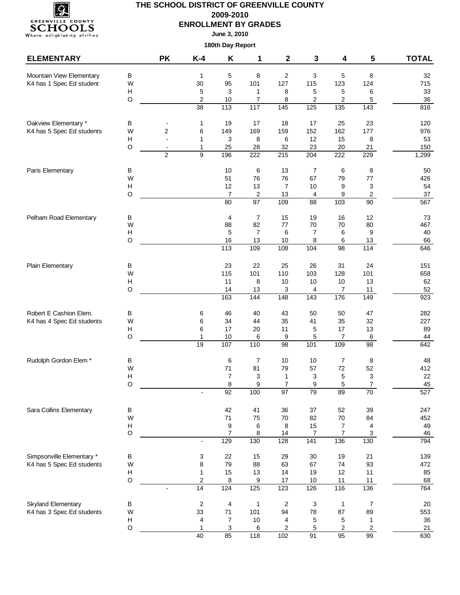

**June 3, 2010**

| $\sf B$<br>2<br>Mountain View Elementary<br>5<br>8<br>3<br>5<br>8<br>32<br>1<br>95<br>127<br>115<br>123<br>K4 has 1 Spec Ed student<br>W<br>30<br>101<br>124<br>715<br>$\boldsymbol{\mathsf{H}}$<br>5<br>3<br>8<br>5<br>$\sqrt{5}$<br>6<br>33<br>$\mathbf{1}$<br>$\mathsf O$<br>$\boldsymbol{2}$<br>10<br>$\overline{7}$<br>8<br>$\overline{\mathbf{c}}$<br>$\overline{\mathbf{c}}$<br>$\,$ 5 $\,$<br>$36\,$<br>117<br>$\overline{38}$<br>113<br>145<br>125<br>$\overline{135}$<br>$\frac{1}{143}$<br>816<br>Oakview Elementary *<br>19<br>17<br>25<br>23<br>В<br>$\mathbf{1}$<br>18<br>17<br>120<br>K4 has 5 Spec Ed students<br>$\overline{c}$<br>169<br>W<br>6<br>149<br>159<br>152<br>162<br>177<br>976<br>$\boldsymbol{\mathsf{H}}$<br>3<br>8<br>6<br>12<br>15<br>8<br>53<br>$\mathbf{1}$<br>$\circ$<br>$\mathbf{1}$<br>25<br>28<br>23<br>32<br>20<br>21<br>150<br>$\overline{2}$<br>9<br>196<br>$\overline{222}$<br>$\overline{215}$<br>204<br>222<br>229<br>1,299<br>6<br>Paris Elementary<br>В<br>10<br>13<br>7<br>6<br>8<br>50<br>W<br>51<br>76<br>76<br>67<br>79<br>$77\,$<br>426<br>3<br>$\boldsymbol{\mathsf{H}}$<br>12<br>13<br>$\overline{7}$<br>$10$<br>54<br>9<br>$\mathsf O$<br>$\overline{7}$<br>$\boldsymbol{2}$<br>13<br>9<br>$\overline{c}$<br>37<br>4<br>97<br>80<br>109<br>103<br>$\overline{90}$<br>567<br>88<br>$\overline{7}$<br>15<br>19<br>16<br>12<br>Pelham Road Elementary<br>В<br>4<br>73<br>82<br>W<br>88<br>77<br>70<br>70<br>80<br>467<br>$\boldsymbol{\mathsf{H}}$<br>5<br>9<br>$\overline{7}$<br>6<br>7<br>6<br>40<br>O<br>16<br>13<br>6<br>10<br>8<br>13<br>66<br>113<br>114<br>109<br>108<br>104<br>$\overline{98}$<br>646<br>26<br>24<br>Plain Elementary<br>В<br>23<br>22<br>25<br>31<br>151<br>W<br>115<br>101<br>110<br>103<br>101<br>658<br>128<br>$\boldsymbol{\mathsf{H}}$<br>11<br>8<br>10<br>10<br>13<br>62<br>$10$<br>O<br>52<br>14<br>$\overline{7}$<br>13<br>3<br>4<br>11<br>176<br>163<br>144<br>148<br>$\overline{143}$<br>149<br>923<br>Robert E Cashion Elem.<br>43<br>47<br>В<br>6<br>46<br>40<br>50<br>50<br>282<br>32<br>W<br>6<br>34<br>35<br>41<br>35<br>227<br>K4 has 4 Spec Ed students<br>44<br>$\boldsymbol{\mathsf{H}}$<br>6<br>17<br>20<br>11<br>5<br>17<br>13<br>89<br>O<br>5<br>1<br>10<br>6<br>9<br>7<br>$\,6\,$<br>44<br>19<br>107<br>110<br>101<br>109<br>$\overline{98}$<br>98<br>642<br>Rudolph Gordon Elem *<br>$\overline{7}$<br>$\boldsymbol{7}$<br>В<br>6<br>10<br>10<br>8<br>48<br>52<br>W<br>71<br>81<br>79<br>57<br>72<br>412<br>$\ensuremath{\mathsf{3}}$<br>$\boldsymbol{\mathsf{H}}$<br>22<br>7<br>3<br>3<br>5<br>1<br>9<br>$\overline{7}$<br>5<br>$\boldsymbol{7}$<br>O<br>8<br>9<br>45<br>100<br>97<br>92<br>89<br>79<br>$70\,$<br>527<br>Sara Collins Elementary<br>42<br>37<br>247<br>В<br>41<br>36<br>52<br>39<br>W<br>75<br>84<br>71<br>70<br>82<br>70<br>452<br>$\boldsymbol{\mathsf{H}}$<br>$\overline{\mathbf{4}}$<br>9<br>8<br>15<br>$\overline{7}$<br>49<br>6<br>$\hbox{O}$<br>$\overline{7}$<br>8<br>14<br>$\boldsymbol{7}$<br>$\mathbf{3}$<br>46<br>$\overline{7}$<br>129<br>130<br>141<br>130<br>794<br>128<br>136<br>$\frac{1}{2}$<br>Simpsonville Elementary *<br>$\sf B$<br>3<br>22<br>15<br>30<br>19<br>21<br>139<br>29<br>K4 has 5 Spec Ed students<br>79<br>93<br>W<br>8<br>88<br>63<br>67<br>74<br>472<br>$\boldsymbol{\mathsf{H}}$<br>15<br>11<br>1<br>13<br>14<br>19<br>12<br>85<br>$\circ$<br>$\overline{\mathbf{c}}$<br>8<br>11<br>9<br>17<br>$10$<br>11<br>68<br>14<br>125<br>124<br>123<br>126<br>116<br>136<br>764<br>Skyland Elementary<br>$\overline{\mathbf{c}}$<br>4<br>В<br>$\overline{c}$<br>3<br>$\overline{7}$<br>20<br>$\mathbf{1}$<br>$\mathbf{1}$<br>K4 has 3 Spec Ed students<br>89<br>W<br>33<br>$71$<br>101<br>94<br>78<br>87<br>553<br>$\boldsymbol{\mathsf{H}}$<br>$\overline{7}$<br>$10\,$<br>5<br>4<br>4<br>5<br>1<br>36<br>$\mathsf O$<br>$\mathbf{1}$<br>3<br>6<br>$\overline{\mathbf{c}}$<br>5<br>$\overline{\mathbf{c}}$<br>$\mathbf{2}$<br>21<br>99<br>630<br>40<br>85<br>118<br>102<br>$\overline{91}$<br>95 | <b>ELEMENTARY</b> | <b>PK</b> | $K-4$ | Κ | 1 | $\mathbf{2}$ | 3 | 4 | 5 | <b>TOTAL</b> |
|-----------------------------------------------------------------------------------------------------------------------------------------------------------------------------------------------------------------------------------------------------------------------------------------------------------------------------------------------------------------------------------------------------------------------------------------------------------------------------------------------------------------------------------------------------------------------------------------------------------------------------------------------------------------------------------------------------------------------------------------------------------------------------------------------------------------------------------------------------------------------------------------------------------------------------------------------------------------------------------------------------------------------------------------------------------------------------------------------------------------------------------------------------------------------------------------------------------------------------------------------------------------------------------------------------------------------------------------------------------------------------------------------------------------------------------------------------------------------------------------------------------------------------------------------------------------------------------------------------------------------------------------------------------------------------------------------------------------------------------------------------------------------------------------------------------------------------------------------------------------------------------------------------------------------------------------------------------------------------------------------------------------------------------------------------------------------------------------------------------------------------------------------------------------------------------------------------------------------------------------------------------------------------------------------------------------------------------------------------------------------------------------------------------------------------------------------------------------------------------------------------------------------------------------------------------------------------------------------------------------------------------------------------------------------------------------------------------------------------------------------------------------------------------------------------------------------------------------------------------------------------------------------------------------------------------------------------------------------------------------------------------------------------------------------------------------------------------------------------------------------------------------------------------------------------------------------------------------------------------------------------------------------------------------------------------------------------------------------------------------------------------------------------------------------------------------------------------------------------------------------------------------------------------------------------------------------------------------------------------------------------------------------------------------------------------------------------------------------------------------------------------------------------------------------------------------------------------------------------------------------------------------------------------------------------------------------------------------------------------------------------------------------------------------------------|-------------------|-----------|-------|---|---|--------------|---|---|---|--------------|
|                                                                                                                                                                                                                                                                                                                                                                                                                                                                                                                                                                                                                                                                                                                                                                                                                                                                                                                                                                                                                                                                                                                                                                                                                                                                                                                                                                                                                                                                                                                                                                                                                                                                                                                                                                                                                                                                                                                                                                                                                                                                                                                                                                                                                                                                                                                                                                                                                                                                                                                                                                                                                                                                                                                                                                                                                                                                                                                                                                                                                                                                                                                                                                                                                                                                                                                                                                                                                                                                                                                                                                                                                                                                                                                                                                                                                                                                                                                                                                                                                                                     |                   |           |       |   |   |              |   |   |   |              |
|                                                                                                                                                                                                                                                                                                                                                                                                                                                                                                                                                                                                                                                                                                                                                                                                                                                                                                                                                                                                                                                                                                                                                                                                                                                                                                                                                                                                                                                                                                                                                                                                                                                                                                                                                                                                                                                                                                                                                                                                                                                                                                                                                                                                                                                                                                                                                                                                                                                                                                                                                                                                                                                                                                                                                                                                                                                                                                                                                                                                                                                                                                                                                                                                                                                                                                                                                                                                                                                                                                                                                                                                                                                                                                                                                                                                                                                                                                                                                                                                                                                     |                   |           |       |   |   |              |   |   |   |              |
|                                                                                                                                                                                                                                                                                                                                                                                                                                                                                                                                                                                                                                                                                                                                                                                                                                                                                                                                                                                                                                                                                                                                                                                                                                                                                                                                                                                                                                                                                                                                                                                                                                                                                                                                                                                                                                                                                                                                                                                                                                                                                                                                                                                                                                                                                                                                                                                                                                                                                                                                                                                                                                                                                                                                                                                                                                                                                                                                                                                                                                                                                                                                                                                                                                                                                                                                                                                                                                                                                                                                                                                                                                                                                                                                                                                                                                                                                                                                                                                                                                                     |                   |           |       |   |   |              |   |   |   |              |
|                                                                                                                                                                                                                                                                                                                                                                                                                                                                                                                                                                                                                                                                                                                                                                                                                                                                                                                                                                                                                                                                                                                                                                                                                                                                                                                                                                                                                                                                                                                                                                                                                                                                                                                                                                                                                                                                                                                                                                                                                                                                                                                                                                                                                                                                                                                                                                                                                                                                                                                                                                                                                                                                                                                                                                                                                                                                                                                                                                                                                                                                                                                                                                                                                                                                                                                                                                                                                                                                                                                                                                                                                                                                                                                                                                                                                                                                                                                                                                                                                                                     |                   |           |       |   |   |              |   |   |   |              |
|                                                                                                                                                                                                                                                                                                                                                                                                                                                                                                                                                                                                                                                                                                                                                                                                                                                                                                                                                                                                                                                                                                                                                                                                                                                                                                                                                                                                                                                                                                                                                                                                                                                                                                                                                                                                                                                                                                                                                                                                                                                                                                                                                                                                                                                                                                                                                                                                                                                                                                                                                                                                                                                                                                                                                                                                                                                                                                                                                                                                                                                                                                                                                                                                                                                                                                                                                                                                                                                                                                                                                                                                                                                                                                                                                                                                                                                                                                                                                                                                                                                     |                   |           |       |   |   |              |   |   |   |              |
|                                                                                                                                                                                                                                                                                                                                                                                                                                                                                                                                                                                                                                                                                                                                                                                                                                                                                                                                                                                                                                                                                                                                                                                                                                                                                                                                                                                                                                                                                                                                                                                                                                                                                                                                                                                                                                                                                                                                                                                                                                                                                                                                                                                                                                                                                                                                                                                                                                                                                                                                                                                                                                                                                                                                                                                                                                                                                                                                                                                                                                                                                                                                                                                                                                                                                                                                                                                                                                                                                                                                                                                                                                                                                                                                                                                                                                                                                                                                                                                                                                                     |                   |           |       |   |   |              |   |   |   |              |
|                                                                                                                                                                                                                                                                                                                                                                                                                                                                                                                                                                                                                                                                                                                                                                                                                                                                                                                                                                                                                                                                                                                                                                                                                                                                                                                                                                                                                                                                                                                                                                                                                                                                                                                                                                                                                                                                                                                                                                                                                                                                                                                                                                                                                                                                                                                                                                                                                                                                                                                                                                                                                                                                                                                                                                                                                                                                                                                                                                                                                                                                                                                                                                                                                                                                                                                                                                                                                                                                                                                                                                                                                                                                                                                                                                                                                                                                                                                                                                                                                                                     |                   |           |       |   |   |              |   |   |   |              |
|                                                                                                                                                                                                                                                                                                                                                                                                                                                                                                                                                                                                                                                                                                                                                                                                                                                                                                                                                                                                                                                                                                                                                                                                                                                                                                                                                                                                                                                                                                                                                                                                                                                                                                                                                                                                                                                                                                                                                                                                                                                                                                                                                                                                                                                                                                                                                                                                                                                                                                                                                                                                                                                                                                                                                                                                                                                                                                                                                                                                                                                                                                                                                                                                                                                                                                                                                                                                                                                                                                                                                                                                                                                                                                                                                                                                                                                                                                                                                                                                                                                     |                   |           |       |   |   |              |   |   |   |              |
|                                                                                                                                                                                                                                                                                                                                                                                                                                                                                                                                                                                                                                                                                                                                                                                                                                                                                                                                                                                                                                                                                                                                                                                                                                                                                                                                                                                                                                                                                                                                                                                                                                                                                                                                                                                                                                                                                                                                                                                                                                                                                                                                                                                                                                                                                                                                                                                                                                                                                                                                                                                                                                                                                                                                                                                                                                                                                                                                                                                                                                                                                                                                                                                                                                                                                                                                                                                                                                                                                                                                                                                                                                                                                                                                                                                                                                                                                                                                                                                                                                                     |                   |           |       |   |   |              |   |   |   |              |
|                                                                                                                                                                                                                                                                                                                                                                                                                                                                                                                                                                                                                                                                                                                                                                                                                                                                                                                                                                                                                                                                                                                                                                                                                                                                                                                                                                                                                                                                                                                                                                                                                                                                                                                                                                                                                                                                                                                                                                                                                                                                                                                                                                                                                                                                                                                                                                                                                                                                                                                                                                                                                                                                                                                                                                                                                                                                                                                                                                                                                                                                                                                                                                                                                                                                                                                                                                                                                                                                                                                                                                                                                                                                                                                                                                                                                                                                                                                                                                                                                                                     |                   |           |       |   |   |              |   |   |   |              |
|                                                                                                                                                                                                                                                                                                                                                                                                                                                                                                                                                                                                                                                                                                                                                                                                                                                                                                                                                                                                                                                                                                                                                                                                                                                                                                                                                                                                                                                                                                                                                                                                                                                                                                                                                                                                                                                                                                                                                                                                                                                                                                                                                                                                                                                                                                                                                                                                                                                                                                                                                                                                                                                                                                                                                                                                                                                                                                                                                                                                                                                                                                                                                                                                                                                                                                                                                                                                                                                                                                                                                                                                                                                                                                                                                                                                                                                                                                                                                                                                                                                     |                   |           |       |   |   |              |   |   |   |              |
|                                                                                                                                                                                                                                                                                                                                                                                                                                                                                                                                                                                                                                                                                                                                                                                                                                                                                                                                                                                                                                                                                                                                                                                                                                                                                                                                                                                                                                                                                                                                                                                                                                                                                                                                                                                                                                                                                                                                                                                                                                                                                                                                                                                                                                                                                                                                                                                                                                                                                                                                                                                                                                                                                                                                                                                                                                                                                                                                                                                                                                                                                                                                                                                                                                                                                                                                                                                                                                                                                                                                                                                                                                                                                                                                                                                                                                                                                                                                                                                                                                                     |                   |           |       |   |   |              |   |   |   |              |
|                                                                                                                                                                                                                                                                                                                                                                                                                                                                                                                                                                                                                                                                                                                                                                                                                                                                                                                                                                                                                                                                                                                                                                                                                                                                                                                                                                                                                                                                                                                                                                                                                                                                                                                                                                                                                                                                                                                                                                                                                                                                                                                                                                                                                                                                                                                                                                                                                                                                                                                                                                                                                                                                                                                                                                                                                                                                                                                                                                                                                                                                                                                                                                                                                                                                                                                                                                                                                                                                                                                                                                                                                                                                                                                                                                                                                                                                                                                                                                                                                                                     |                   |           |       |   |   |              |   |   |   |              |
|                                                                                                                                                                                                                                                                                                                                                                                                                                                                                                                                                                                                                                                                                                                                                                                                                                                                                                                                                                                                                                                                                                                                                                                                                                                                                                                                                                                                                                                                                                                                                                                                                                                                                                                                                                                                                                                                                                                                                                                                                                                                                                                                                                                                                                                                                                                                                                                                                                                                                                                                                                                                                                                                                                                                                                                                                                                                                                                                                                                                                                                                                                                                                                                                                                                                                                                                                                                                                                                                                                                                                                                                                                                                                                                                                                                                                                                                                                                                                                                                                                                     |                   |           |       |   |   |              |   |   |   |              |
|                                                                                                                                                                                                                                                                                                                                                                                                                                                                                                                                                                                                                                                                                                                                                                                                                                                                                                                                                                                                                                                                                                                                                                                                                                                                                                                                                                                                                                                                                                                                                                                                                                                                                                                                                                                                                                                                                                                                                                                                                                                                                                                                                                                                                                                                                                                                                                                                                                                                                                                                                                                                                                                                                                                                                                                                                                                                                                                                                                                                                                                                                                                                                                                                                                                                                                                                                                                                                                                                                                                                                                                                                                                                                                                                                                                                                                                                                                                                                                                                                                                     |                   |           |       |   |   |              |   |   |   |              |
|                                                                                                                                                                                                                                                                                                                                                                                                                                                                                                                                                                                                                                                                                                                                                                                                                                                                                                                                                                                                                                                                                                                                                                                                                                                                                                                                                                                                                                                                                                                                                                                                                                                                                                                                                                                                                                                                                                                                                                                                                                                                                                                                                                                                                                                                                                                                                                                                                                                                                                                                                                                                                                                                                                                                                                                                                                                                                                                                                                                                                                                                                                                                                                                                                                                                                                                                                                                                                                                                                                                                                                                                                                                                                                                                                                                                                                                                                                                                                                                                                                                     |                   |           |       |   |   |              |   |   |   |              |
|                                                                                                                                                                                                                                                                                                                                                                                                                                                                                                                                                                                                                                                                                                                                                                                                                                                                                                                                                                                                                                                                                                                                                                                                                                                                                                                                                                                                                                                                                                                                                                                                                                                                                                                                                                                                                                                                                                                                                                                                                                                                                                                                                                                                                                                                                                                                                                                                                                                                                                                                                                                                                                                                                                                                                                                                                                                                                                                                                                                                                                                                                                                                                                                                                                                                                                                                                                                                                                                                                                                                                                                                                                                                                                                                                                                                                                                                                                                                                                                                                                                     |                   |           |       |   |   |              |   |   |   |              |
|                                                                                                                                                                                                                                                                                                                                                                                                                                                                                                                                                                                                                                                                                                                                                                                                                                                                                                                                                                                                                                                                                                                                                                                                                                                                                                                                                                                                                                                                                                                                                                                                                                                                                                                                                                                                                                                                                                                                                                                                                                                                                                                                                                                                                                                                                                                                                                                                                                                                                                                                                                                                                                                                                                                                                                                                                                                                                                                                                                                                                                                                                                                                                                                                                                                                                                                                                                                                                                                                                                                                                                                                                                                                                                                                                                                                                                                                                                                                                                                                                                                     |                   |           |       |   |   |              |   |   |   |              |
|                                                                                                                                                                                                                                                                                                                                                                                                                                                                                                                                                                                                                                                                                                                                                                                                                                                                                                                                                                                                                                                                                                                                                                                                                                                                                                                                                                                                                                                                                                                                                                                                                                                                                                                                                                                                                                                                                                                                                                                                                                                                                                                                                                                                                                                                                                                                                                                                                                                                                                                                                                                                                                                                                                                                                                                                                                                                                                                                                                                                                                                                                                                                                                                                                                                                                                                                                                                                                                                                                                                                                                                                                                                                                                                                                                                                                                                                                                                                                                                                                                                     |                   |           |       |   |   |              |   |   |   |              |
|                                                                                                                                                                                                                                                                                                                                                                                                                                                                                                                                                                                                                                                                                                                                                                                                                                                                                                                                                                                                                                                                                                                                                                                                                                                                                                                                                                                                                                                                                                                                                                                                                                                                                                                                                                                                                                                                                                                                                                                                                                                                                                                                                                                                                                                                                                                                                                                                                                                                                                                                                                                                                                                                                                                                                                                                                                                                                                                                                                                                                                                                                                                                                                                                                                                                                                                                                                                                                                                                                                                                                                                                                                                                                                                                                                                                                                                                                                                                                                                                                                                     |                   |           |       |   |   |              |   |   |   |              |
|                                                                                                                                                                                                                                                                                                                                                                                                                                                                                                                                                                                                                                                                                                                                                                                                                                                                                                                                                                                                                                                                                                                                                                                                                                                                                                                                                                                                                                                                                                                                                                                                                                                                                                                                                                                                                                                                                                                                                                                                                                                                                                                                                                                                                                                                                                                                                                                                                                                                                                                                                                                                                                                                                                                                                                                                                                                                                                                                                                                                                                                                                                                                                                                                                                                                                                                                                                                                                                                                                                                                                                                                                                                                                                                                                                                                                                                                                                                                                                                                                                                     |                   |           |       |   |   |              |   |   |   |              |
|                                                                                                                                                                                                                                                                                                                                                                                                                                                                                                                                                                                                                                                                                                                                                                                                                                                                                                                                                                                                                                                                                                                                                                                                                                                                                                                                                                                                                                                                                                                                                                                                                                                                                                                                                                                                                                                                                                                                                                                                                                                                                                                                                                                                                                                                                                                                                                                                                                                                                                                                                                                                                                                                                                                                                                                                                                                                                                                                                                                                                                                                                                                                                                                                                                                                                                                                                                                                                                                                                                                                                                                                                                                                                                                                                                                                                                                                                                                                                                                                                                                     |                   |           |       |   |   |              |   |   |   |              |
|                                                                                                                                                                                                                                                                                                                                                                                                                                                                                                                                                                                                                                                                                                                                                                                                                                                                                                                                                                                                                                                                                                                                                                                                                                                                                                                                                                                                                                                                                                                                                                                                                                                                                                                                                                                                                                                                                                                                                                                                                                                                                                                                                                                                                                                                                                                                                                                                                                                                                                                                                                                                                                                                                                                                                                                                                                                                                                                                                                                                                                                                                                                                                                                                                                                                                                                                                                                                                                                                                                                                                                                                                                                                                                                                                                                                                                                                                                                                                                                                                                                     |                   |           |       |   |   |              |   |   |   |              |
|                                                                                                                                                                                                                                                                                                                                                                                                                                                                                                                                                                                                                                                                                                                                                                                                                                                                                                                                                                                                                                                                                                                                                                                                                                                                                                                                                                                                                                                                                                                                                                                                                                                                                                                                                                                                                                                                                                                                                                                                                                                                                                                                                                                                                                                                                                                                                                                                                                                                                                                                                                                                                                                                                                                                                                                                                                                                                                                                                                                                                                                                                                                                                                                                                                                                                                                                                                                                                                                                                                                                                                                                                                                                                                                                                                                                                                                                                                                                                                                                                                                     |                   |           |       |   |   |              |   |   |   |              |
|                                                                                                                                                                                                                                                                                                                                                                                                                                                                                                                                                                                                                                                                                                                                                                                                                                                                                                                                                                                                                                                                                                                                                                                                                                                                                                                                                                                                                                                                                                                                                                                                                                                                                                                                                                                                                                                                                                                                                                                                                                                                                                                                                                                                                                                                                                                                                                                                                                                                                                                                                                                                                                                                                                                                                                                                                                                                                                                                                                                                                                                                                                                                                                                                                                                                                                                                                                                                                                                                                                                                                                                                                                                                                                                                                                                                                                                                                                                                                                                                                                                     |                   |           |       |   |   |              |   |   |   |              |
|                                                                                                                                                                                                                                                                                                                                                                                                                                                                                                                                                                                                                                                                                                                                                                                                                                                                                                                                                                                                                                                                                                                                                                                                                                                                                                                                                                                                                                                                                                                                                                                                                                                                                                                                                                                                                                                                                                                                                                                                                                                                                                                                                                                                                                                                                                                                                                                                                                                                                                                                                                                                                                                                                                                                                                                                                                                                                                                                                                                                                                                                                                                                                                                                                                                                                                                                                                                                                                                                                                                                                                                                                                                                                                                                                                                                                                                                                                                                                                                                                                                     |                   |           |       |   |   |              |   |   |   |              |
|                                                                                                                                                                                                                                                                                                                                                                                                                                                                                                                                                                                                                                                                                                                                                                                                                                                                                                                                                                                                                                                                                                                                                                                                                                                                                                                                                                                                                                                                                                                                                                                                                                                                                                                                                                                                                                                                                                                                                                                                                                                                                                                                                                                                                                                                                                                                                                                                                                                                                                                                                                                                                                                                                                                                                                                                                                                                                                                                                                                                                                                                                                                                                                                                                                                                                                                                                                                                                                                                                                                                                                                                                                                                                                                                                                                                                                                                                                                                                                                                                                                     |                   |           |       |   |   |              |   |   |   |              |
|                                                                                                                                                                                                                                                                                                                                                                                                                                                                                                                                                                                                                                                                                                                                                                                                                                                                                                                                                                                                                                                                                                                                                                                                                                                                                                                                                                                                                                                                                                                                                                                                                                                                                                                                                                                                                                                                                                                                                                                                                                                                                                                                                                                                                                                                                                                                                                                                                                                                                                                                                                                                                                                                                                                                                                                                                                                                                                                                                                                                                                                                                                                                                                                                                                                                                                                                                                                                                                                                                                                                                                                                                                                                                                                                                                                                                                                                                                                                                                                                                                                     |                   |           |       |   |   |              |   |   |   |              |
|                                                                                                                                                                                                                                                                                                                                                                                                                                                                                                                                                                                                                                                                                                                                                                                                                                                                                                                                                                                                                                                                                                                                                                                                                                                                                                                                                                                                                                                                                                                                                                                                                                                                                                                                                                                                                                                                                                                                                                                                                                                                                                                                                                                                                                                                                                                                                                                                                                                                                                                                                                                                                                                                                                                                                                                                                                                                                                                                                                                                                                                                                                                                                                                                                                                                                                                                                                                                                                                                                                                                                                                                                                                                                                                                                                                                                                                                                                                                                                                                                                                     |                   |           |       |   |   |              |   |   |   |              |
|                                                                                                                                                                                                                                                                                                                                                                                                                                                                                                                                                                                                                                                                                                                                                                                                                                                                                                                                                                                                                                                                                                                                                                                                                                                                                                                                                                                                                                                                                                                                                                                                                                                                                                                                                                                                                                                                                                                                                                                                                                                                                                                                                                                                                                                                                                                                                                                                                                                                                                                                                                                                                                                                                                                                                                                                                                                                                                                                                                                                                                                                                                                                                                                                                                                                                                                                                                                                                                                                                                                                                                                                                                                                                                                                                                                                                                                                                                                                                                                                                                                     |                   |           |       |   |   |              |   |   |   |              |
|                                                                                                                                                                                                                                                                                                                                                                                                                                                                                                                                                                                                                                                                                                                                                                                                                                                                                                                                                                                                                                                                                                                                                                                                                                                                                                                                                                                                                                                                                                                                                                                                                                                                                                                                                                                                                                                                                                                                                                                                                                                                                                                                                                                                                                                                                                                                                                                                                                                                                                                                                                                                                                                                                                                                                                                                                                                                                                                                                                                                                                                                                                                                                                                                                                                                                                                                                                                                                                                                                                                                                                                                                                                                                                                                                                                                                                                                                                                                                                                                                                                     |                   |           |       |   |   |              |   |   |   |              |
|                                                                                                                                                                                                                                                                                                                                                                                                                                                                                                                                                                                                                                                                                                                                                                                                                                                                                                                                                                                                                                                                                                                                                                                                                                                                                                                                                                                                                                                                                                                                                                                                                                                                                                                                                                                                                                                                                                                                                                                                                                                                                                                                                                                                                                                                                                                                                                                                                                                                                                                                                                                                                                                                                                                                                                                                                                                                                                                                                                                                                                                                                                                                                                                                                                                                                                                                                                                                                                                                                                                                                                                                                                                                                                                                                                                                                                                                                                                                                                                                                                                     |                   |           |       |   |   |              |   |   |   |              |
|                                                                                                                                                                                                                                                                                                                                                                                                                                                                                                                                                                                                                                                                                                                                                                                                                                                                                                                                                                                                                                                                                                                                                                                                                                                                                                                                                                                                                                                                                                                                                                                                                                                                                                                                                                                                                                                                                                                                                                                                                                                                                                                                                                                                                                                                                                                                                                                                                                                                                                                                                                                                                                                                                                                                                                                                                                                                                                                                                                                                                                                                                                                                                                                                                                                                                                                                                                                                                                                                                                                                                                                                                                                                                                                                                                                                                                                                                                                                                                                                                                                     |                   |           |       |   |   |              |   |   |   |              |
|                                                                                                                                                                                                                                                                                                                                                                                                                                                                                                                                                                                                                                                                                                                                                                                                                                                                                                                                                                                                                                                                                                                                                                                                                                                                                                                                                                                                                                                                                                                                                                                                                                                                                                                                                                                                                                                                                                                                                                                                                                                                                                                                                                                                                                                                                                                                                                                                                                                                                                                                                                                                                                                                                                                                                                                                                                                                                                                                                                                                                                                                                                                                                                                                                                                                                                                                                                                                                                                                                                                                                                                                                                                                                                                                                                                                                                                                                                                                                                                                                                                     |                   |           |       |   |   |              |   |   |   |              |
|                                                                                                                                                                                                                                                                                                                                                                                                                                                                                                                                                                                                                                                                                                                                                                                                                                                                                                                                                                                                                                                                                                                                                                                                                                                                                                                                                                                                                                                                                                                                                                                                                                                                                                                                                                                                                                                                                                                                                                                                                                                                                                                                                                                                                                                                                                                                                                                                                                                                                                                                                                                                                                                                                                                                                                                                                                                                                                                                                                                                                                                                                                                                                                                                                                                                                                                                                                                                                                                                                                                                                                                                                                                                                                                                                                                                                                                                                                                                                                                                                                                     |                   |           |       |   |   |              |   |   |   |              |
|                                                                                                                                                                                                                                                                                                                                                                                                                                                                                                                                                                                                                                                                                                                                                                                                                                                                                                                                                                                                                                                                                                                                                                                                                                                                                                                                                                                                                                                                                                                                                                                                                                                                                                                                                                                                                                                                                                                                                                                                                                                                                                                                                                                                                                                                                                                                                                                                                                                                                                                                                                                                                                                                                                                                                                                                                                                                                                                                                                                                                                                                                                                                                                                                                                                                                                                                                                                                                                                                                                                                                                                                                                                                                                                                                                                                                                                                                                                                                                                                                                                     |                   |           |       |   |   |              |   |   |   |              |
|                                                                                                                                                                                                                                                                                                                                                                                                                                                                                                                                                                                                                                                                                                                                                                                                                                                                                                                                                                                                                                                                                                                                                                                                                                                                                                                                                                                                                                                                                                                                                                                                                                                                                                                                                                                                                                                                                                                                                                                                                                                                                                                                                                                                                                                                                                                                                                                                                                                                                                                                                                                                                                                                                                                                                                                                                                                                                                                                                                                                                                                                                                                                                                                                                                                                                                                                                                                                                                                                                                                                                                                                                                                                                                                                                                                                                                                                                                                                                                                                                                                     |                   |           |       |   |   |              |   |   |   |              |
|                                                                                                                                                                                                                                                                                                                                                                                                                                                                                                                                                                                                                                                                                                                                                                                                                                                                                                                                                                                                                                                                                                                                                                                                                                                                                                                                                                                                                                                                                                                                                                                                                                                                                                                                                                                                                                                                                                                                                                                                                                                                                                                                                                                                                                                                                                                                                                                                                                                                                                                                                                                                                                                                                                                                                                                                                                                                                                                                                                                                                                                                                                                                                                                                                                                                                                                                                                                                                                                                                                                                                                                                                                                                                                                                                                                                                                                                                                                                                                                                                                                     |                   |           |       |   |   |              |   |   |   |              |
|                                                                                                                                                                                                                                                                                                                                                                                                                                                                                                                                                                                                                                                                                                                                                                                                                                                                                                                                                                                                                                                                                                                                                                                                                                                                                                                                                                                                                                                                                                                                                                                                                                                                                                                                                                                                                                                                                                                                                                                                                                                                                                                                                                                                                                                                                                                                                                                                                                                                                                                                                                                                                                                                                                                                                                                                                                                                                                                                                                                                                                                                                                                                                                                                                                                                                                                                                                                                                                                                                                                                                                                                                                                                                                                                                                                                                                                                                                                                                                                                                                                     |                   |           |       |   |   |              |   |   |   |              |
|                                                                                                                                                                                                                                                                                                                                                                                                                                                                                                                                                                                                                                                                                                                                                                                                                                                                                                                                                                                                                                                                                                                                                                                                                                                                                                                                                                                                                                                                                                                                                                                                                                                                                                                                                                                                                                                                                                                                                                                                                                                                                                                                                                                                                                                                                                                                                                                                                                                                                                                                                                                                                                                                                                                                                                                                                                                                                                                                                                                                                                                                                                                                                                                                                                                                                                                                                                                                                                                                                                                                                                                                                                                                                                                                                                                                                                                                                                                                                                                                                                                     |                   |           |       |   |   |              |   |   |   |              |
|                                                                                                                                                                                                                                                                                                                                                                                                                                                                                                                                                                                                                                                                                                                                                                                                                                                                                                                                                                                                                                                                                                                                                                                                                                                                                                                                                                                                                                                                                                                                                                                                                                                                                                                                                                                                                                                                                                                                                                                                                                                                                                                                                                                                                                                                                                                                                                                                                                                                                                                                                                                                                                                                                                                                                                                                                                                                                                                                                                                                                                                                                                                                                                                                                                                                                                                                                                                                                                                                                                                                                                                                                                                                                                                                                                                                                                                                                                                                                                                                                                                     |                   |           |       |   |   |              |   |   |   |              |
|                                                                                                                                                                                                                                                                                                                                                                                                                                                                                                                                                                                                                                                                                                                                                                                                                                                                                                                                                                                                                                                                                                                                                                                                                                                                                                                                                                                                                                                                                                                                                                                                                                                                                                                                                                                                                                                                                                                                                                                                                                                                                                                                                                                                                                                                                                                                                                                                                                                                                                                                                                                                                                                                                                                                                                                                                                                                                                                                                                                                                                                                                                                                                                                                                                                                                                                                                                                                                                                                                                                                                                                                                                                                                                                                                                                                                                                                                                                                                                                                                                                     |                   |           |       |   |   |              |   |   |   |              |
|                                                                                                                                                                                                                                                                                                                                                                                                                                                                                                                                                                                                                                                                                                                                                                                                                                                                                                                                                                                                                                                                                                                                                                                                                                                                                                                                                                                                                                                                                                                                                                                                                                                                                                                                                                                                                                                                                                                                                                                                                                                                                                                                                                                                                                                                                                                                                                                                                                                                                                                                                                                                                                                                                                                                                                                                                                                                                                                                                                                                                                                                                                                                                                                                                                                                                                                                                                                                                                                                                                                                                                                                                                                                                                                                                                                                                                                                                                                                                                                                                                                     |                   |           |       |   |   |              |   |   |   |              |
|                                                                                                                                                                                                                                                                                                                                                                                                                                                                                                                                                                                                                                                                                                                                                                                                                                                                                                                                                                                                                                                                                                                                                                                                                                                                                                                                                                                                                                                                                                                                                                                                                                                                                                                                                                                                                                                                                                                                                                                                                                                                                                                                                                                                                                                                                                                                                                                                                                                                                                                                                                                                                                                                                                                                                                                                                                                                                                                                                                                                                                                                                                                                                                                                                                                                                                                                                                                                                                                                                                                                                                                                                                                                                                                                                                                                                                                                                                                                                                                                                                                     |                   |           |       |   |   |              |   |   |   |              |
|                                                                                                                                                                                                                                                                                                                                                                                                                                                                                                                                                                                                                                                                                                                                                                                                                                                                                                                                                                                                                                                                                                                                                                                                                                                                                                                                                                                                                                                                                                                                                                                                                                                                                                                                                                                                                                                                                                                                                                                                                                                                                                                                                                                                                                                                                                                                                                                                                                                                                                                                                                                                                                                                                                                                                                                                                                                                                                                                                                                                                                                                                                                                                                                                                                                                                                                                                                                                                                                                                                                                                                                                                                                                                                                                                                                                                                                                                                                                                                                                                                                     |                   |           |       |   |   |              |   |   |   |              |
|                                                                                                                                                                                                                                                                                                                                                                                                                                                                                                                                                                                                                                                                                                                                                                                                                                                                                                                                                                                                                                                                                                                                                                                                                                                                                                                                                                                                                                                                                                                                                                                                                                                                                                                                                                                                                                                                                                                                                                                                                                                                                                                                                                                                                                                                                                                                                                                                                                                                                                                                                                                                                                                                                                                                                                                                                                                                                                                                                                                                                                                                                                                                                                                                                                                                                                                                                                                                                                                                                                                                                                                                                                                                                                                                                                                                                                                                                                                                                                                                                                                     |                   |           |       |   |   |              |   |   |   |              |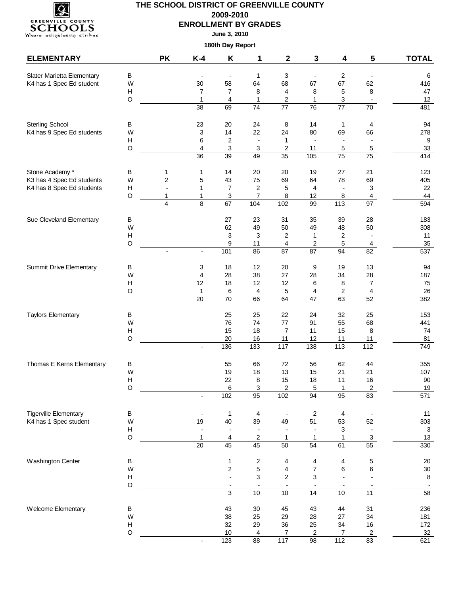

**June 3, 2010**

| <b>ELEMENTARY</b>                                     |                                      | <b>PK</b>      | $K-4$                    | Κ                            | 1                             | $\mathbf{2}$                 | 3                                           | 4                        | 5                                | <b>TOTAL</b>     |
|-------------------------------------------------------|--------------------------------------|----------------|--------------------------|------------------------------|-------------------------------|------------------------------|---------------------------------------------|--------------------------|----------------------------------|------------------|
| Slater Marietta Elementary                            | В                                    |                |                          | $\overline{\phantom{a}}$     | $\mathbf{1}$                  | 3                            | $\overline{\phantom{a}}$                    | $\overline{2}$           | $\blacksquare$                   | 6                |
| K4 has 1 Spec Ed student                              | W                                    |                | 30                       | 58                           | 64                            | 68                           | 67                                          | 67                       | 62                               | 416              |
|                                                       | $\boldsymbol{\mathsf{H}}$            |                | 7                        | $\overline{7}$               | 8                             | $\overline{4}$               | 8                                           | 5                        | 8                                | 47               |
|                                                       | $\circ$                              |                | $\mathbf{1}$             | $\overline{4}$               | $\mathbf{1}$                  | $\overline{\mathbf{c}}$      | $\mathbf{1}$                                | 3                        |                                  | 12               |
|                                                       |                                      |                | $\overline{38}$          | 69                           | 74                            | $\overline{77}$              | $\overline{76}$                             | $\overline{77}$          | 70                               | 481              |
| <b>Sterling School</b>                                | В                                    |                | 23                       | 20                           | 24                            | 8                            | 14                                          | $\mathbf 1$              | 4                                | 94               |
| K4 has 9 Spec Ed students                             | W                                    |                | 3                        | 14                           | 22                            | 24                           | 80                                          | 69                       | 66                               | 278              |
|                                                       | Н<br>$\mathsf O$                     |                | 6<br>4                   | $\overline{\mathbf{c}}$<br>3 | $\overline{\phantom{a}}$<br>3 | $\mathbf{1}$<br>2            | $\frac{1}{2}$<br>11                         | $\overline{a}$<br>5      | $\overline{\phantom{a}}$<br>5    | 9<br>$33\,$      |
|                                                       |                                      |                | $\overline{36}$          | 39                           | 49                            | 35                           | 105                                         | $\overline{75}$          | $\overline{75}$                  | 414              |
| Stone Academy *                                       | В                                    | 1              | 1                        | 14                           | 20                            | 20                           | 19                                          | 27                       | 21                               | 123              |
| K3 has 4 Spec Ed students                             | W                                    | $\overline{c}$ | 5                        | 43                           | 75                            | 69                           | 64                                          | 78                       | 69                               | 405              |
| K4 has 8 Spec Ed students                             | $\boldsymbol{\mathsf{H}}$            | $\overline{a}$ | 1                        | $\overline{7}$               | $\sqrt{2}$                    | 5                            | 4                                           | $\overline{\phantom{a}}$ | 3                                | 22               |
|                                                       | $\circ$                              | 1              | 1                        | 3                            | 7                             | 8                            | 12                                          | 8                        | 4                                | 44               |
|                                                       |                                      | 4              | 8                        | 67                           | 104                           | 102                          | 99                                          | $\frac{1}{113}$          | 97                               | 594              |
| Sue Cleveland Elementary                              | В                                    |                |                          | 27                           | 23                            | 31                           | 35                                          | 39                       | 28                               | 183              |
|                                                       | W                                    |                |                          | 62                           | 49                            | 50                           | 49                                          | 48                       | 50                               | 308              |
|                                                       | $\boldsymbol{\mathsf{H}}$<br>$\circ$ |                |                          | 3<br>9                       | 3<br>11                       | $\overline{\mathbf{c}}$<br>4 | $\mathbf{1}$<br>$\overline{c}$              | 2<br>5                   | $\blacksquare$<br>$\overline{4}$ | 11<br>35         |
|                                                       |                                      | $\blacksquare$ | $\overline{\phantom{a}}$ | 101                          | 86                            | $\overline{87}$              | 87                                          | 94                       | $\overline{82}$                  | $\overline{537}$ |
|                                                       |                                      |                |                          |                              |                               |                              |                                             |                          |                                  |                  |
| Summit Drive Elementary                               | В<br>W                               |                | 3<br>4                   | 18<br>28                     | 12<br>38                      | 20<br>27                     | 9<br>28                                     | 19<br>34                 | 13<br>28                         | 94               |
|                                                       | $\boldsymbol{\mathsf{H}}$            |                | 12                       | 18                           | 12                            | 12                           | 6                                           | 8                        | $\overline{7}$                   | 187<br>75        |
|                                                       | $\circ$                              |                | 1                        | 6                            | 4                             | 5                            | 4                                           | $\overline{\mathbf{c}}$  | 4                                | 26               |
|                                                       |                                      |                | $\overline{20}$          | 70                           | 66                            | 64                           | $\overline{47}$                             | 63                       | 52                               | 382              |
| <b>Taylors Elementary</b>                             | B                                    |                |                          | 25                           | 25                            | 22                           | 24                                          | 32                       | 25                               | 153              |
|                                                       | W                                    |                |                          | 76                           | 74                            | 77                           | 91                                          | 55                       | 68                               | 441              |
|                                                       | $\boldsymbol{\mathsf{H}}$            |                |                          | 15                           | 18                            | $\overline{7}$               | 11                                          | 15                       | 8                                | 74               |
|                                                       | $\circ$                              |                | $\blacksquare$           | 20<br>136                    | 16<br>$\overline{133}$        | 11<br>117                    | 12<br>138                                   | 11<br>$\frac{1}{113}$    | 11<br>112                        | 81<br>749        |
|                                                       |                                      |                |                          |                              |                               |                              |                                             |                          |                                  |                  |
| Thomas E Kerns Elementary                             | В                                    |                |                          | 55                           | 66                            | 72                           | 56                                          | 62                       | 44                               | 355              |
|                                                       | W                                    |                |                          | 19                           | 18                            | 13                           | 15                                          | 21                       | 21                               | 107              |
|                                                       | H<br>$\Omega$                        |                |                          | 22<br>6                      | 8<br>3                        | 15<br>$\overline{2}$         | 18<br>5                                     | 11<br>1                  | 16<br>$\overline{2}$             | 90               |
|                                                       |                                      |                |                          | 102                          | 95                            | 102                          | $\overline{94}$                             | $\overline{95}$          | $\overline{83}$                  | $19$<br>571      |
|                                                       |                                      |                |                          |                              |                               |                              |                                             |                          |                                  |                  |
| <b>Tigerville Elementary</b><br>K4 has 1 Spec student | В<br>W                               |                | 19                       | $\mathbf{1}$<br>40           | 4<br>39                       | $\blacksquare$<br>49         | $\sqrt{2}$<br>51                            | 4<br>53                  | $\blacksquare$<br>52             | 11<br>303        |
|                                                       | $\boldsymbol{\mathsf{H}}$            |                |                          |                              |                               |                              | $\overline{a}$                              | 3                        | $\overline{\phantom{a}}$         | 3                |
|                                                       | $\circ$                              |                | 1                        | 4                            | $\boldsymbol{2}$              | 1                            | $\mathbf{1}$                                | 1                        | $\ensuremath{\mathsf{3}}$        | $13$             |
|                                                       |                                      |                | $\overline{20}$          | 45                           | 45                            | 50                           | $\overline{54}$                             | 61                       | 55                               | 330              |
| Washington Center                                     | В                                    |                |                          | 1                            | $\sqrt{2}$                    | 4                            | 4                                           | 4                        | 5                                | $20\,$           |
|                                                       | W                                    |                |                          | $\overline{\mathbf{c}}$      | $\mathbf 5$                   | 4                            | $\overline{\mathbf{7}}$                     | 6                        | 6                                | $30\,$           |
|                                                       | $\mathsf{H}$                         |                |                          | $\overline{a}$               | 3                             | 2                            | 3                                           |                          |                                  | $\,8\,$          |
|                                                       | $\circ$                              |                |                          | 3                            | 10                            | 10                           | $\overline{\phantom{a}}$<br>$\overline{14}$ | 10                       | 11                               | $\overline{58}$  |
|                                                       |                                      |                |                          |                              |                               |                              |                                             |                          |                                  |                  |
| Welcome Elementary                                    | В                                    |                |                          | 43                           | $30\,$                        | 45                           | 43                                          | 44                       | 31                               | 236              |
|                                                       | W<br>$\boldsymbol{\mathsf{H}}$       |                |                          | 38<br>32                     | 25<br>29                      | 29<br>36                     | 28<br>25                                    | 27<br>34                 | 34<br>$16$                       | 181<br>172       |
|                                                       | $\circ$                              |                |                          | $10$                         | 4                             | 7                            | 2                                           | 7                        | $\overline{2}$                   | 32               |
|                                                       |                                      |                | $\overline{\phantom{a}}$ | 123                          | $\overline{88}$               | 117                          | 98                                          | $\frac{1}{112}$          | 83                               | 621              |